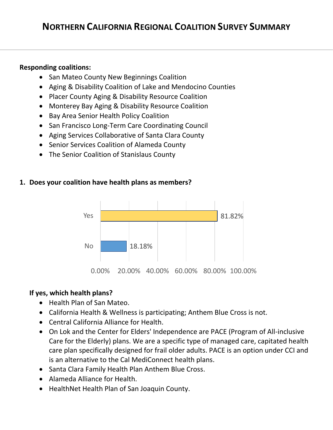## **Responding coalitions:**

- San Mateo County New Beginnings Coalition
- Aging & Disability Coalition of Lake and Mendocino Counties
- Placer County Aging & Disability Resource Coalition
- Monterey Bay Aging & Disability Resource Coalition
- Bay Area Senior Health Policy Coalition
- San Francisco Long-Term Care Coordinating Council
- Aging Services Collaborative of Santa Clara County
- Senior Services Coalition of Alameda County
- The Senior Coalition of Stanislaus County

## **1. Does your coalition have health plans as members?**



## **If yes, which health plans?**

- Health Plan of San Mateo.
- California Health & Wellness is participating; Anthem Blue Cross is not.
- Central California Alliance for Health.
- On Lok and the Center for Elders' Independence are PACE (Program of All-inclusive Care for the Elderly) plans. We are a specific type of managed care, capitated health care plan specifically designed for frail older adults. PACE is an option under CCI and is an alternative to the Cal MediConnect health plans.
- Santa Clara Family Health Plan Anthem Blue Cross.
- Alameda Alliance for Health.
- HealthNet Health Plan of San Joaquin County.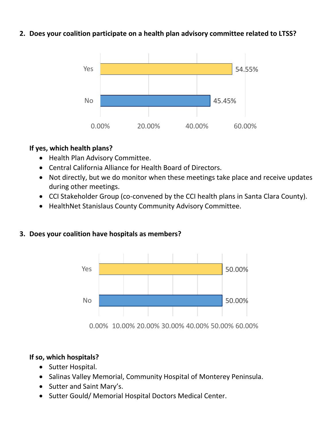## **2. Does your coalition participate on a health plan advisory committee related to LTSS?**



## **If yes, which health plans?**

- Health Plan Advisory Committee.
- Central California Alliance for Health Board of Directors.
- Not directly, but we do monitor when these meetings take place and receive updates during other meetings.
- CCI Stakeholder Group (co-convened by the CCI health plans in Santa Clara County).
- HealthNet Stanislaus County Community Advisory Committee.

## **3. Does your coalition have hospitals as members?**



0.00% 10.00% 20.00% 30.00% 40.00% 50.00% 60.00%

## **If so, which hospitals?**

- Sutter Hospital.
- Salinas Valley Memorial, Community Hospital of Monterey Peninsula.
- Sutter and Saint Mary's.
- Sutter Gould/ Memorial Hospital Doctors Medical Center.